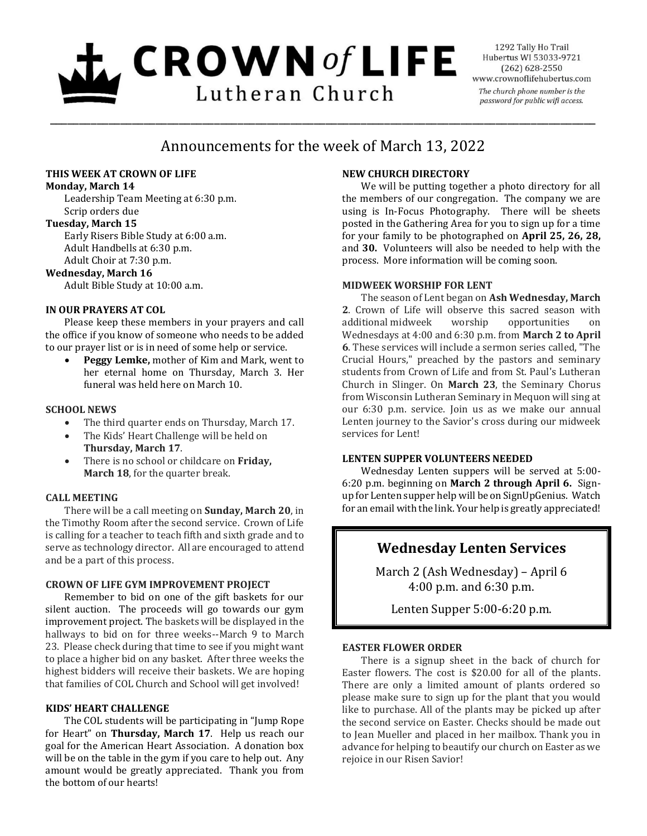# $\mathbf{L}$  CROWN of LIFE Lutheran Church

1292 Tally Ho Trail Hubertus WI 53033-9721  $(262) 628 - 2550$ www.crownoflifehubertus.com The church phone number is the password for public wifi access.

# Announcements for the week of March 13, 2022

\_\_\_\_\_\_\_\_\_\_\_\_\_\_\_\_\_\_\_\_\_\_\_\_\_\_\_\_\_\_\_\_\_\_\_\_\_\_\_\_\_\_\_\_\_\_\_\_\_\_\_\_\_\_\_\_\_\_\_\_\_\_\_\_\_\_\_\_\_\_\_\_\_\_\_\_\_\_\_\_\_\_\_\_\_\_\_\_\_\_\_\_\_

## **THIS WEEK AT CROWN OF LIFE**

#### **Monday, March 14**

Leadership Team Meeting at 6:30 p.m. Scrip orders due

# **Tuesday, March 15**

Early Risers Bible Study at 6:00 a.m. Adult Handbells at 6:30 p.m. Adult Choir at 7:30 p.m.

### **Wednesday, March 16**

Adult Bible Study at 10:00 a.m.

# **IN OUR PRAYERS AT COL**

Please keep these members in your prayers and call the office if you know of someone who needs to be added to our prayer list or is in need of some help or service.

 **Peggy Lemke,** mother of Kim and Mark, went to her eternal home on Thursday, March 3. Her funeral was held here on March 10.

# **SCHOOL NEWS**

- The third quarter ends on Thursday, March 17.
- The Kids' Heart Challenge will be held on **Thursday, March 17**.
- There is no school or childcare on **Friday, March 18**, for the quarter break.

### **CALL MEETING**

There will be a call meeting on **Sunday, March 20**, in the Timothy Room after the second service. Crown of Life is calling for a teacher to teach fifth and sixth grade and to serve as technology director. All are encouraged to attend and be a part of this process.

### **CROWN OF LIFE GYM IMPROVEMENT PROJECT**

Remember to bid on one of the gift baskets for our silent auction. The proceeds will go towards our gym improvement project. The baskets will be displayed in the hallways to bid on for three weeks--March 9 to March 23. Please check during that time to see if you might want to place a higher bid on any basket. After three weeks the highest bidders will receive their baskets. We are hoping that families of COL Church and School will get involved!

### **KIDS' HEART CHALLENGE**

The COL students will be participating in "Jump Rope for Heart" on **Thursday, March 17**. Help us reach our goal for the American Heart Association. A donation box will be on the table in the gym if you care to help out. Any amount would be greatly appreciated. Thank you from the bottom of our hearts!

# **NEW CHURCH DIRECTORY**

We will be putting together a photo directory for all the members of our congregation. The company we are using is In-Focus Photography. There will be sheets posted in the Gathering Area for you to sign up for a time for your family to be photographed on **April 25, 26, 28,** and **30.** Volunteers will also be needed to help with the process. More information will be coming soon.

### **MIDWEEK WORSHIP FOR LENT**

The season of Lent began on **Ash Wednesday, March 2**. Crown of Life will observe this sacred season with additional midweek worship opportunities on Wednesdays at 4:00 and 6:30 p.m. from **March 2 to April 6**. These services will include a sermon series called, "The Crucial Hours," preached by the pastors and seminary students from Crown of Life and from St. Paul's Lutheran Church in Slinger. On **March 23**, the Seminary Chorus from Wisconsin Lutheran Seminary in Mequon will sing at our 6:30 p.m. service. Join us as we make our annual Lenten journey to the Savior's cross during our midweek services for Lent!

## **LENTEN SUPPER VOLUNTEERS NEEDED**

Wednesday Lenten suppers will be served at 5:00- 6:20 p.m. beginning on **March 2 through April 6.** Signup for Lenten supper help will be on SignUpGenius. Watch for an email with the link. Your help is greatly appreciated!

# **Wednesday Lenten Services**

March 2 (Ash Wednesday) – April 6 4:00 p.m. and 6:30 p.m.

Lenten Supper 5:00-6:20 p.m.

### **EASTER FLOWER ORDER**

There is a signup sheet in the back of church for Easter flowers. The cost is \$20.00 for all of the plants. There are only a limited amount of plants ordered so please make sure to sign up for the plant that you would like to purchase. All of the plants may be picked up after the second service on Easter. Checks should be made out to Jean Mueller and placed in her mailbox. Thank you in advance for helping to beautify our church on Easter as we rejoice in our Risen Savior!